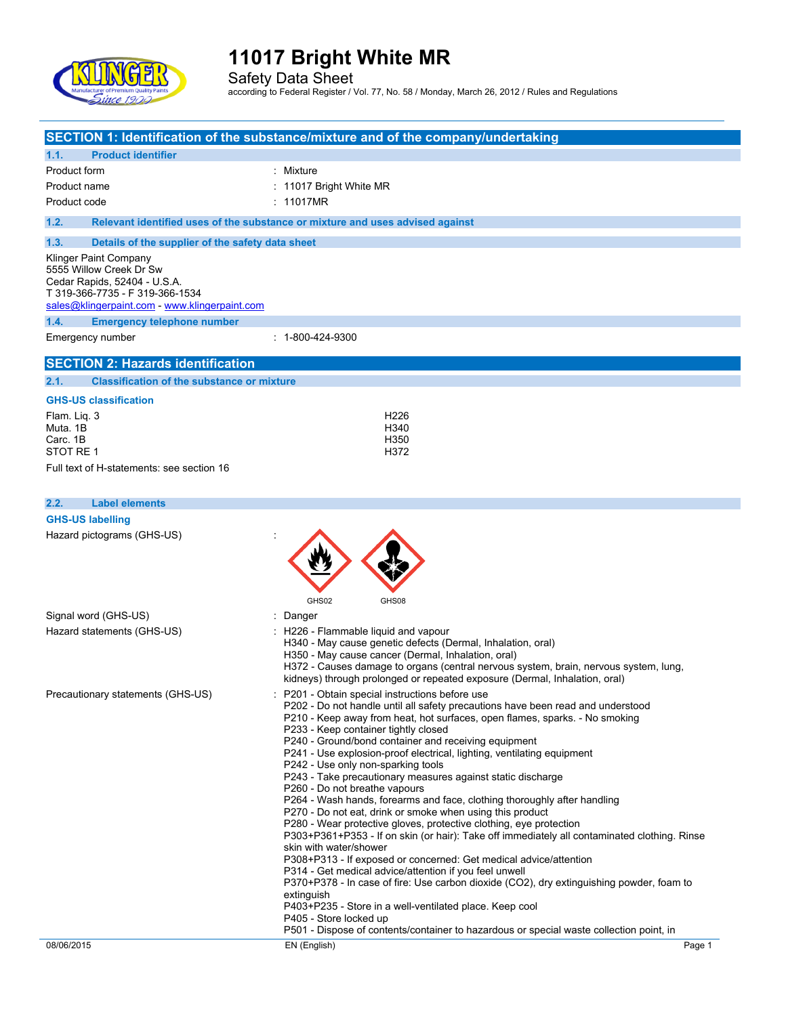

Safety Data Sheet according to Federal Register / Vol. 77, No. 58 / Monday, March 26, 2012 / Rules and Regulations

|                                                                                                                                                                      | SECTION 1: Identification of the substance/mixture and of the company/undertaking                                                                                                                                                                                                                                                                                                                                                                                                                                                                                                                                                                                                                                                                                                                                                                                                                                                                                                                                                                                                                                                                                                                      |
|----------------------------------------------------------------------------------------------------------------------------------------------------------------------|--------------------------------------------------------------------------------------------------------------------------------------------------------------------------------------------------------------------------------------------------------------------------------------------------------------------------------------------------------------------------------------------------------------------------------------------------------------------------------------------------------------------------------------------------------------------------------------------------------------------------------------------------------------------------------------------------------------------------------------------------------------------------------------------------------------------------------------------------------------------------------------------------------------------------------------------------------------------------------------------------------------------------------------------------------------------------------------------------------------------------------------------------------------------------------------------------------|
| 1.1.<br><b>Product identifier</b>                                                                                                                                    |                                                                                                                                                                                                                                                                                                                                                                                                                                                                                                                                                                                                                                                                                                                                                                                                                                                                                                                                                                                                                                                                                                                                                                                                        |
| Product form                                                                                                                                                         | : Mixture                                                                                                                                                                                                                                                                                                                                                                                                                                                                                                                                                                                                                                                                                                                                                                                                                                                                                                                                                                                                                                                                                                                                                                                              |
| Product name                                                                                                                                                         | : 11017 Bright White MR                                                                                                                                                                                                                                                                                                                                                                                                                                                                                                                                                                                                                                                                                                                                                                                                                                                                                                                                                                                                                                                                                                                                                                                |
| Product code                                                                                                                                                         | : 11017MR                                                                                                                                                                                                                                                                                                                                                                                                                                                                                                                                                                                                                                                                                                                                                                                                                                                                                                                                                                                                                                                                                                                                                                                              |
| 1.2.                                                                                                                                                                 | Relevant identified uses of the substance or mixture and uses advised against                                                                                                                                                                                                                                                                                                                                                                                                                                                                                                                                                                                                                                                                                                                                                                                                                                                                                                                                                                                                                                                                                                                          |
| 1.3.<br>Details of the supplier of the safety data sheet                                                                                                             |                                                                                                                                                                                                                                                                                                                                                                                                                                                                                                                                                                                                                                                                                                                                                                                                                                                                                                                                                                                                                                                                                                                                                                                                        |
| Klinger Paint Company<br>5555 Willow Creek Dr Sw<br>Cedar Rapids, 52404 - U.S.A.<br>T 319-366-7735 - F 319-366-1534<br>sales@klingerpaint.com - www.klingerpaint.com |                                                                                                                                                                                                                                                                                                                                                                                                                                                                                                                                                                                                                                                                                                                                                                                                                                                                                                                                                                                                                                                                                                                                                                                                        |
| 1.4.<br><b>Emergency telephone number</b>                                                                                                                            |                                                                                                                                                                                                                                                                                                                                                                                                                                                                                                                                                                                                                                                                                                                                                                                                                                                                                                                                                                                                                                                                                                                                                                                                        |
| Emergency number                                                                                                                                                     | : 1-800-424-9300                                                                                                                                                                                                                                                                                                                                                                                                                                                                                                                                                                                                                                                                                                                                                                                                                                                                                                                                                                                                                                                                                                                                                                                       |
| <b>SECTION 2: Hazards identification</b>                                                                                                                             |                                                                                                                                                                                                                                                                                                                                                                                                                                                                                                                                                                                                                                                                                                                                                                                                                                                                                                                                                                                                                                                                                                                                                                                                        |
| 2.1.<br><b>Classification of the substance or mixture</b>                                                                                                            |                                                                                                                                                                                                                                                                                                                                                                                                                                                                                                                                                                                                                                                                                                                                                                                                                                                                                                                                                                                                                                                                                                                                                                                                        |
| <b>GHS-US classification</b>                                                                                                                                         |                                                                                                                                                                                                                                                                                                                                                                                                                                                                                                                                                                                                                                                                                                                                                                                                                                                                                                                                                                                                                                                                                                                                                                                                        |
| Flam. Lig. 3                                                                                                                                                         | H <sub>226</sub>                                                                                                                                                                                                                                                                                                                                                                                                                                                                                                                                                                                                                                                                                                                                                                                                                                                                                                                                                                                                                                                                                                                                                                                       |
| Muta, 1B                                                                                                                                                             | H340                                                                                                                                                                                                                                                                                                                                                                                                                                                                                                                                                                                                                                                                                                                                                                                                                                                                                                                                                                                                                                                                                                                                                                                                   |
| Carc. 1B<br>STOT RE1                                                                                                                                                 | H350<br>H372                                                                                                                                                                                                                                                                                                                                                                                                                                                                                                                                                                                                                                                                                                                                                                                                                                                                                                                                                                                                                                                                                                                                                                                           |
| Full text of H-statements: see section 16                                                                                                                            |                                                                                                                                                                                                                                                                                                                                                                                                                                                                                                                                                                                                                                                                                                                                                                                                                                                                                                                                                                                                                                                                                                                                                                                                        |
|                                                                                                                                                                      |                                                                                                                                                                                                                                                                                                                                                                                                                                                                                                                                                                                                                                                                                                                                                                                                                                                                                                                                                                                                                                                                                                                                                                                                        |
| <b>Label elements</b><br>2.2.                                                                                                                                        |                                                                                                                                                                                                                                                                                                                                                                                                                                                                                                                                                                                                                                                                                                                                                                                                                                                                                                                                                                                                                                                                                                                                                                                                        |
| <b>GHS-US labelling</b>                                                                                                                                              |                                                                                                                                                                                                                                                                                                                                                                                                                                                                                                                                                                                                                                                                                                                                                                                                                                                                                                                                                                                                                                                                                                                                                                                                        |
|                                                                                                                                                                      | GHS02<br>GHS08                                                                                                                                                                                                                                                                                                                                                                                                                                                                                                                                                                                                                                                                                                                                                                                                                                                                                                                                                                                                                                                                                                                                                                                         |
| Signal word (GHS-US)                                                                                                                                                 | Danger                                                                                                                                                                                                                                                                                                                                                                                                                                                                                                                                                                                                                                                                                                                                                                                                                                                                                                                                                                                                                                                                                                                                                                                                 |
| Hazard statements (GHS-US)                                                                                                                                           | H226 - Flammable liquid and vapour<br>H340 - May cause genetic defects (Dermal, Inhalation, oral)<br>H350 - May cause cancer (Dermal, Inhalation, oral)<br>H372 - Causes damage to organs (central nervous system, brain, nervous system, lung,<br>kidneys) through prolonged or repeated exposure (Dermal, Inhalation, oral)                                                                                                                                                                                                                                                                                                                                                                                                                                                                                                                                                                                                                                                                                                                                                                                                                                                                          |
| Precautionary statements (GHS-US)                                                                                                                                    | P201 - Obtain special instructions before use<br>P202 - Do not handle until all safety precautions have been read and understood<br>P210 - Keep away from heat, hot surfaces, open flames, sparks. - No smoking<br>P233 - Keep container tightly closed<br>P240 - Ground/bond container and receiving equipment<br>P241 - Use explosion-proof electrical, lighting, ventilating equipment<br>P242 - Use only non-sparking tools<br>P243 - Take precautionary measures against static discharge<br>P260 - Do not breathe vapours<br>P264 - Wash hands, forearms and face, clothing thoroughly after handling<br>P270 - Do not eat, drink or smoke when using this product<br>P280 - Wear protective gloves, protective clothing, eye protection<br>P303+P361+P353 - If on skin (or hair): Take off immediately all contaminated clothing. Rinse<br>skin with water/shower<br>P308+P313 - If exposed or concerned: Get medical advice/attention<br>P314 - Get medical advice/attention if you feel unwell<br>P370+P378 - In case of fire: Use carbon dioxide (CO2), dry extinguishing powder, foam to<br>extinguish<br>P403+P235 - Store in a well-ventilated place. Keep cool<br>P405 - Store locked up |
| 08/06/2015                                                                                                                                                           | P501 - Dispose of contents/container to hazardous or special waste collection point, in<br>EN (English)<br>Page 1                                                                                                                                                                                                                                                                                                                                                                                                                                                                                                                                                                                                                                                                                                                                                                                                                                                                                                                                                                                                                                                                                      |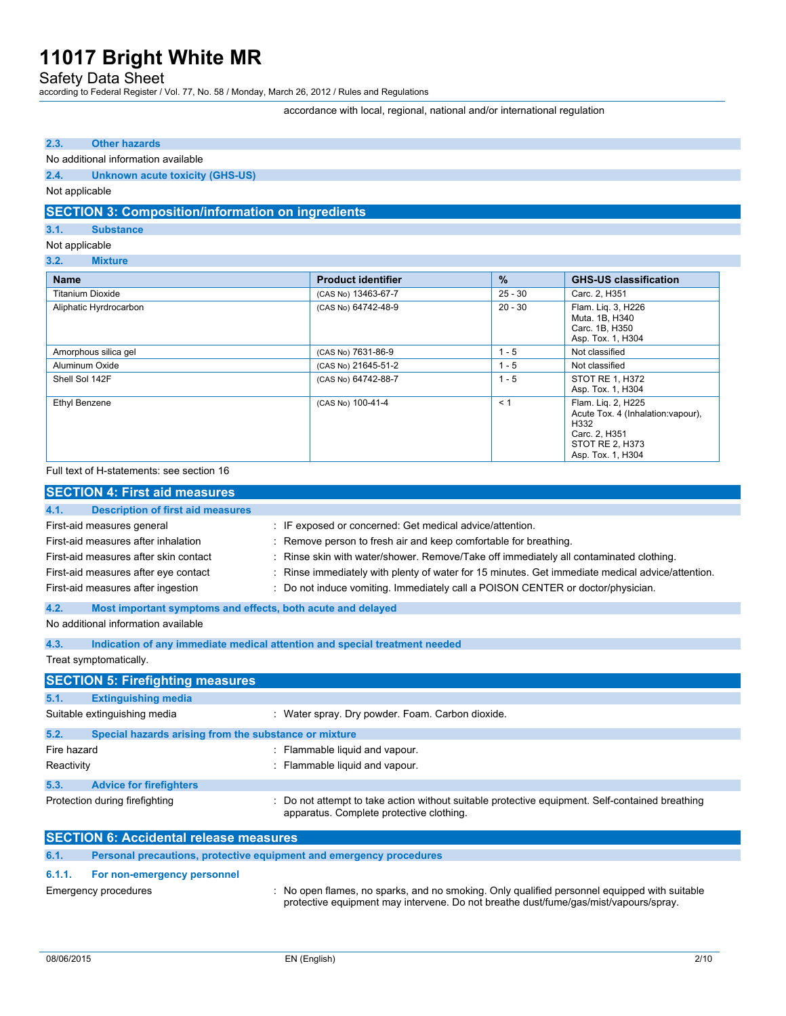Safety Data Sheet

according to Federal Register / Vol. 77, No. 58 / Monday, March 26, 2012 / Rules and Regulations

accordance with local, regional, national and/or international regulation

### **2.3. Other hazards**

#### No additional information available

**2.4. Unknown acute toxicity (GHS-US)**

### Not applicable

### **SECTION 3: Composition/information on ingredients**

### **3.1. Substance**

Not applicable

**3.2. Mixture**

| <b>Name</b>             | <b>Product identifier</b> | $\frac{9}{6}$ | <b>GHS-US classification</b>                                                                                              |
|-------------------------|---------------------------|---------------|---------------------------------------------------------------------------------------------------------------------------|
| <b>Titanium Dioxide</b> | (CAS No) 13463-67-7       | $25 - 30$     | Carc. 2, H351                                                                                                             |
| Aliphatic Hyrdrocarbon  | (CAS No) 64742-48-9       | $20 - 30$     | Flam. Lig. 3, H226<br>Muta. 1B, H340<br>Carc. 1B, H350<br>Asp. Tox. 1, H304                                               |
| Amorphous silica gel    | (CAS No) 7631-86-9        | $1 - 5$       | Not classified                                                                                                            |
| Aluminum Oxide          | (CAS No) 21645-51-2       | $1 - 5$       | Not classified                                                                                                            |
| Shell Sol 142F          | (CAS No) 64742-88-7       | $1 - 5$       | STOT RE 1, H372<br>Asp. Tox. 1, H304                                                                                      |
| Ethyl Benzene           | (CAS No) 100-41-4         | < 1           | Flam. Lig. 2, H225<br>Acute Tox. 4 (Inhalation: vapour).<br>H332<br>Carc. 2, H351<br>STOT RE 2, H373<br>Asp. Tox. 1, H304 |

#### Full text of H-statements: see section 16

| <b>SECTION 4: First aid measures</b>                                                                                                                                                     |                                                       |                                                                                                                                                                                                                                                                                                                                                                                                               |
|------------------------------------------------------------------------------------------------------------------------------------------------------------------------------------------|-------------------------------------------------------|---------------------------------------------------------------------------------------------------------------------------------------------------------------------------------------------------------------------------------------------------------------------------------------------------------------------------------------------------------------------------------------------------------------|
| 4.1.                                                                                                                                                                                     | <b>Description of first aid measures</b>              |                                                                                                                                                                                                                                                                                                                                                                                                               |
| First-aid measures general<br>First-aid measures after inhalation<br>First-aid measures after skin contact<br>First-aid measures after eye contact<br>First-aid measures after ingestion |                                                       | : IF exposed or concerned: Get medical advice/attention.<br>: Remove person to fresh air and keep comfortable for breathing.<br>: Rinse skin with water/shower. Remove/Take off immediately all contaminated clothing.<br>: Rinse immediately with plenty of water for 15 minutes. Get immediate medical advice/attention.<br>: Do not induce vomiting. Immediately call a POISON CENTER or doctor/physician. |
| 4.2.                                                                                                                                                                                     |                                                       | Most important symptoms and effects, both acute and delayed                                                                                                                                                                                                                                                                                                                                                   |
| No additional information available                                                                                                                                                      |                                                       |                                                                                                                                                                                                                                                                                                                                                                                                               |
| 4.3.                                                                                                                                                                                     |                                                       | Indication of any immediate medical attention and special treatment needed                                                                                                                                                                                                                                                                                                                                    |
| Treat symptomatically.                                                                                                                                                                   |                                                       |                                                                                                                                                                                                                                                                                                                                                                                                               |
| <b>SECTION 5: Firefighting measures</b>                                                                                                                                                  |                                                       |                                                                                                                                                                                                                                                                                                                                                                                                               |
| 5.1.<br><b>Extinguishing media</b>                                                                                                                                                       |                                                       |                                                                                                                                                                                                                                                                                                                                                                                                               |
| Suitable extinguishing media                                                                                                                                                             |                                                       | : Water spray. Dry powder. Foam. Carbon dioxide.                                                                                                                                                                                                                                                                                                                                                              |
| 5.2.                                                                                                                                                                                     | Special hazards arising from the substance or mixture |                                                                                                                                                                                                                                                                                                                                                                                                               |
| Fire hazard                                                                                                                                                                              |                                                       | : Flammable liquid and vapour.                                                                                                                                                                                                                                                                                                                                                                                |
| Reactivity                                                                                                                                                                               |                                                       | : Flammable liquid and vapour.                                                                                                                                                                                                                                                                                                                                                                                |
| 5.3.<br><b>Advice for firefighters</b>                                                                                                                                                   |                                                       |                                                                                                                                                                                                                                                                                                                                                                                                               |
| Protection during firefighting                                                                                                                                                           |                                                       | Do not attempt to take action without suitable protective equipment. Self-contained breathing<br>apparatus. Complete protective clothing.                                                                                                                                                                                                                                                                     |
| <b>SECTION 6: Accidental release measures</b>                                                                                                                                            |                                                       |                                                                                                                                                                                                                                                                                                                                                                                                               |
| 6.1.                                                                                                                                                                                     |                                                       | Personal precautions, protective equipment and emergency procedures                                                                                                                                                                                                                                                                                                                                           |
| 6.1.1.                                                                                                                                                                                   | For non-emergency personnel                           |                                                                                                                                                                                                                                                                                                                                                                                                               |
| Emergency procedures                                                                                                                                                                     |                                                       | : No open flames, no sparks, and no smoking. Only qualified personnel equipped with suitable                                                                                                                                                                                                                                                                                                                  |

protective equipment may intervene. Do not breathe dust/fume/gas/mist/vapours/spray.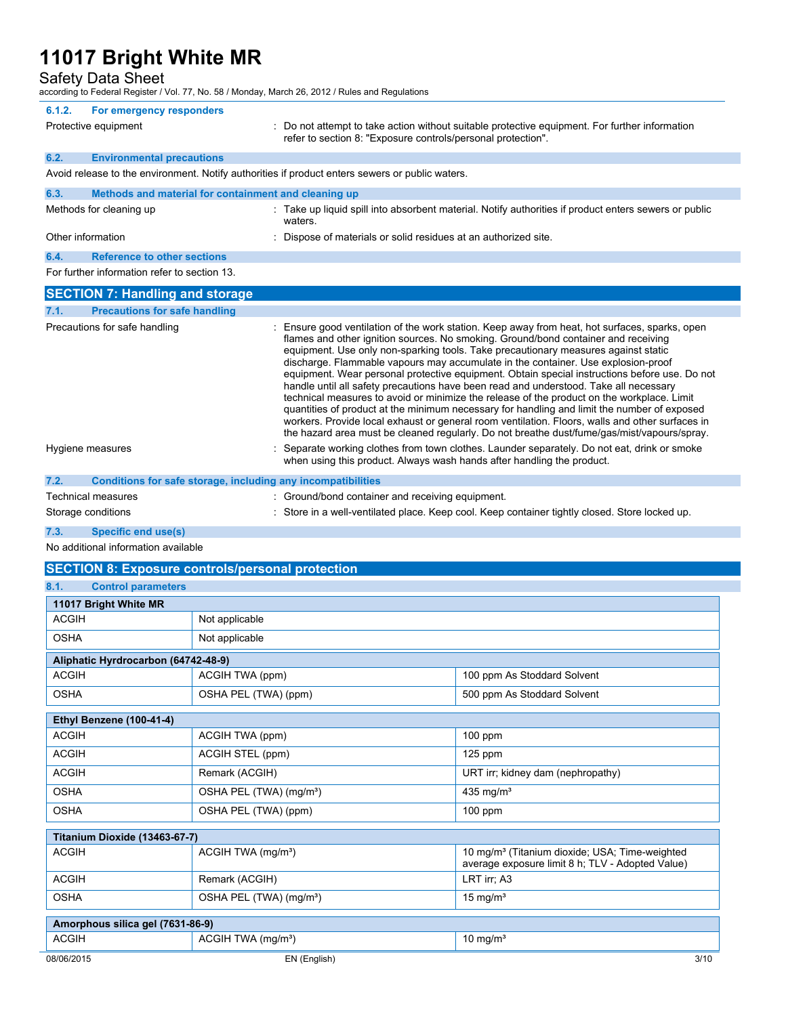Safety Data Sheet

according to Federal Register / Vol. 77, No. 58 / Monday, March 26, 2012 / Rules and Regulations

|        | $\sim$ and $\sim$ 1 capture together $\sim$ . The state $\sim$ 1 monday, material $\sim$ , Ly is the reduced and regulation |                                                                                                                                                                                                                                                                                                                                                                                                                                                                                                                                                                                                                                                                                                                                                                                                                                                                                                                                                        |
|--------|-----------------------------------------------------------------------------------------------------------------------------|--------------------------------------------------------------------------------------------------------------------------------------------------------------------------------------------------------------------------------------------------------------------------------------------------------------------------------------------------------------------------------------------------------------------------------------------------------------------------------------------------------------------------------------------------------------------------------------------------------------------------------------------------------------------------------------------------------------------------------------------------------------------------------------------------------------------------------------------------------------------------------------------------------------------------------------------------------|
| 6.1.2. | For emergency responders                                                                                                    |                                                                                                                                                                                                                                                                                                                                                                                                                                                                                                                                                                                                                                                                                                                                                                                                                                                                                                                                                        |
|        | Protective equipment                                                                                                        | : Do not attempt to take action without suitable protective equipment. For further information<br>refer to section 8: "Exposure controls/personal protection".                                                                                                                                                                                                                                                                                                                                                                                                                                                                                                                                                                                                                                                                                                                                                                                         |
| 6.2.   | <b>Environmental precautions</b>                                                                                            |                                                                                                                                                                                                                                                                                                                                                                                                                                                                                                                                                                                                                                                                                                                                                                                                                                                                                                                                                        |
|        |                                                                                                                             | Avoid release to the environment. Notify authorities if product enters sewers or public waters.                                                                                                                                                                                                                                                                                                                                                                                                                                                                                                                                                                                                                                                                                                                                                                                                                                                        |
| 6.3.   | Methods and material for containment and cleaning up                                                                        |                                                                                                                                                                                                                                                                                                                                                                                                                                                                                                                                                                                                                                                                                                                                                                                                                                                                                                                                                        |
|        | Methods for cleaning up                                                                                                     | : Take up liquid spill into absorbent material. Notify authorities if product enters sewers or public<br>waters.                                                                                                                                                                                                                                                                                                                                                                                                                                                                                                                                                                                                                                                                                                                                                                                                                                       |
|        | Other information                                                                                                           | : Dispose of materials or solid residues at an authorized site.                                                                                                                                                                                                                                                                                                                                                                                                                                                                                                                                                                                                                                                                                                                                                                                                                                                                                        |
| 6.4.   | <b>Reference to other sections</b>                                                                                          |                                                                                                                                                                                                                                                                                                                                                                                                                                                                                                                                                                                                                                                                                                                                                                                                                                                                                                                                                        |
|        | For further information refer to section 13.                                                                                |                                                                                                                                                                                                                                                                                                                                                                                                                                                                                                                                                                                                                                                                                                                                                                                                                                                                                                                                                        |
|        | <b>SECTION 7: Handling and storage</b>                                                                                      |                                                                                                                                                                                                                                                                                                                                                                                                                                                                                                                                                                                                                                                                                                                                                                                                                                                                                                                                                        |
| 7.1.   | <b>Precautions for safe handling</b>                                                                                        |                                                                                                                                                                                                                                                                                                                                                                                                                                                                                                                                                                                                                                                                                                                                                                                                                                                                                                                                                        |
|        | Precautions for safe handling                                                                                               | Ensure good ventilation of the work station. Keep away from heat, hot surfaces, sparks, open<br>flames and other ignition sources. No smoking. Ground/bond container and receiving<br>equipment. Use only non-sparking tools. Take precautionary measures against static<br>discharge. Flammable vapours may accumulate in the container. Use explosion-proof<br>equipment. Wear personal protective equipment. Obtain special instructions before use. Do not<br>handle until all safety precautions have been read and understood. Take all necessary<br>technical measures to avoid or minimize the release of the product on the workplace. Limit<br>quantities of product at the minimum necessary for handling and limit the number of exposed<br>workers. Provide local exhaust or general room ventilation. Floors, walls and other surfaces in<br>the hazard area must be cleaned regularly. Do not breathe dust/fume/gas/mist/vapours/spray. |
|        | Hygiene measures                                                                                                            | Separate working clothes from town clothes. Launder separately. Do not eat, drink or smoke<br>when using this product. Always wash hands after handling the product.                                                                                                                                                                                                                                                                                                                                                                                                                                                                                                                                                                                                                                                                                                                                                                                   |
| 7.2.   | Conditions for safe storage, including any incompatibilities                                                                |                                                                                                                                                                                                                                                                                                                                                                                                                                                                                                                                                                                                                                                                                                                                                                                                                                                                                                                                                        |
|        | <b>Technical measures</b>                                                                                                   | : Ground/bond container and receiving equipment.                                                                                                                                                                                                                                                                                                                                                                                                                                                                                                                                                                                                                                                                                                                                                                                                                                                                                                       |
|        | Storage conditions                                                                                                          | : Store in a well-ventilated place. Keep cool. Keep container tightly closed. Store locked up.                                                                                                                                                                                                                                                                                                                                                                                                                                                                                                                                                                                                                                                                                                                                                                                                                                                         |
| 7.3.   | <b>Specific end use(s)</b>                                                                                                  |                                                                                                                                                                                                                                                                                                                                                                                                                                                                                                                                                                                                                                                                                                                                                                                                                                                                                                                                                        |
|        | No additional information available                                                                                         |                                                                                                                                                                                                                                                                                                                                                                                                                                                                                                                                                                                                                                                                                                                                                                                                                                                                                                                                                        |
|        | <b>SECTION 8: Exposure controls/personal protection</b>                                                                     |                                                                                                                                                                                                                                                                                                                                                                                                                                                                                                                                                                                                                                                                                                                                                                                                                                                                                                                                                        |
| 8.1.   | <b>Control parameters</b>                                                                                                   |                                                                                                                                                                                                                                                                                                                                                                                                                                                                                                                                                                                                                                                                                                                                                                                                                                                                                                                                                        |
|        | 11017 Bright White MR                                                                                                       |                                                                                                                                                                                                                                                                                                                                                                                                                                                                                                                                                                                                                                                                                                                                                                                                                                                                                                                                                        |

| 11017 Bright White MR               |                                     |                                                                                                                |  |  |
|-------------------------------------|-------------------------------------|----------------------------------------------------------------------------------------------------------------|--|--|
| <b>ACGIH</b>                        | Not applicable                      |                                                                                                                |  |  |
| <b>OSHA</b>                         | Not applicable                      |                                                                                                                |  |  |
| Aliphatic Hyrdrocarbon (64742-48-9) |                                     |                                                                                                                |  |  |
| <b>ACGIH</b>                        | ACGIH TWA (ppm)                     | 100 ppm As Stoddard Solvent                                                                                    |  |  |
| <b>OSHA</b>                         | OSHA PEL (TWA) (ppm)                | 500 ppm As Stoddard Solvent                                                                                    |  |  |
| Ethyl Benzene (100-41-4)            |                                     |                                                                                                                |  |  |
| <b>ACGIH</b>                        | ACGIH TWA (ppm)                     | 100 ppm                                                                                                        |  |  |
| <b>ACGIH</b>                        | ACGIH STEL (ppm)                    | 125 ppm                                                                                                        |  |  |
| <b>ACGIH</b>                        | Remark (ACGIH)                      | URT irr; kidney dam (nephropathy)                                                                              |  |  |
| <b>OSHA</b>                         | OSHA PEL (TWA) (mg/m <sup>3</sup> ) | 435 mg/ $m3$                                                                                                   |  |  |
| <b>OSHA</b>                         | OSHA PEL (TWA) (ppm)                | $100$ ppm                                                                                                      |  |  |
| Titanium Dioxide (13463-67-7)       |                                     |                                                                                                                |  |  |
| <b>ACGIH</b>                        | ACGIH TWA (mg/m <sup>3</sup> )      | 10 mg/m <sup>3</sup> (Titanium dioxide; USA; Time-weighted<br>average exposure limit 8 h; TLV - Adopted Value) |  |  |
| <b>ACGIH</b>                        | Remark (ACGIH)                      | LRT irr; A3                                                                                                    |  |  |
| <b>OSHA</b>                         | OSHA PEL (TWA) (mg/m <sup>3</sup> ) | 15 mg/ $m3$                                                                                                    |  |  |
| Amorphous silica gel (7631-86-9)    |                                     |                                                                                                                |  |  |
| <b>ACGIH</b>                        | ACGIH TWA (mg/m <sup>3</sup> )      | 10 mg/ $m3$                                                                                                    |  |  |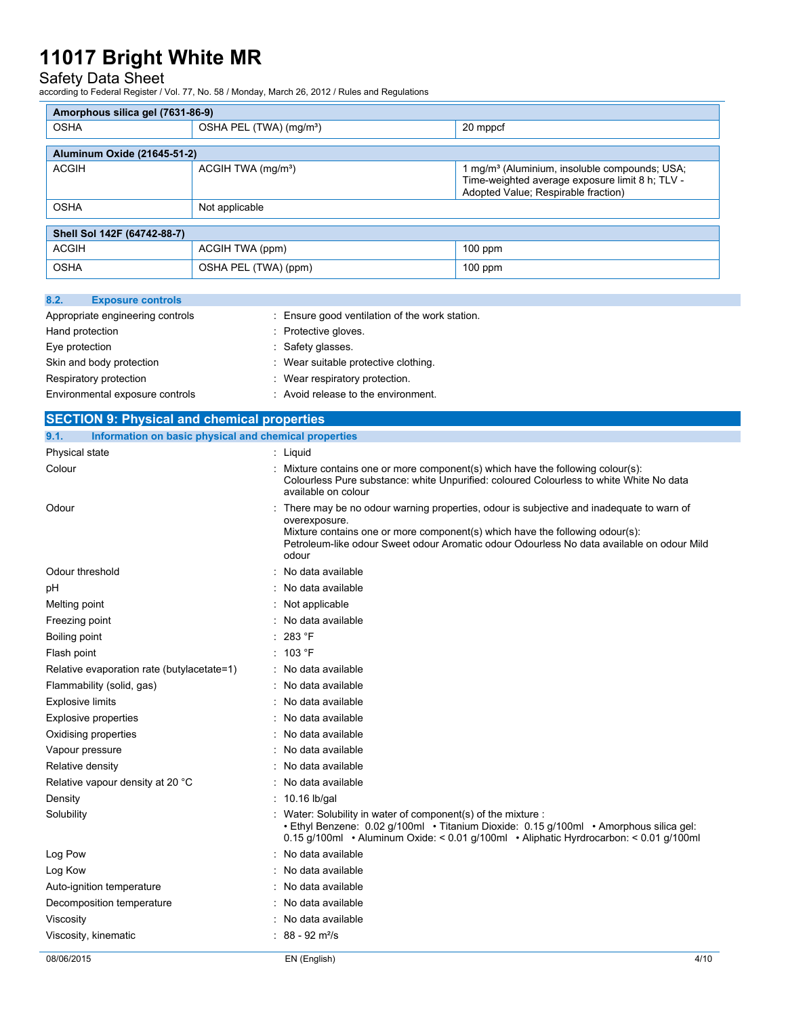## Safety Data Sheet

according to Federal Register / Vol. 77, No. 58 / Monday, March 26, 2012 / Rules and Regulations

| Amorphous silica gel (7631-86-9) |                                     |                                                                                                                                                     |  |  |
|----------------------------------|-------------------------------------|-----------------------------------------------------------------------------------------------------------------------------------------------------|--|--|
| <b>OSHA</b>                      | OSHA PEL (TWA) (mg/m <sup>3</sup> ) | 20 mppcf                                                                                                                                            |  |  |
|                                  |                                     |                                                                                                                                                     |  |  |
| Aluminum Oxide (21645-51-2)      |                                     |                                                                                                                                                     |  |  |
| <b>ACGIH</b>                     | ACGIH TWA (mg/m <sup>3</sup> )      | 1 mg/m <sup>3</sup> (Aluminium, insoluble compounds; USA;<br>Time-weighted average exposure limit 8 h; TLV -<br>Adopted Value; Respirable fraction) |  |  |
| <b>OSHA</b>                      | Not applicable                      |                                                                                                                                                     |  |  |
|                                  |                                     |                                                                                                                                                     |  |  |
| Shell Sol 142F (64742-88-7)      |                                     |                                                                                                                                                     |  |  |
| <b>ACGIH</b>                     | ACGIH TWA (ppm)                     | $100$ ppm                                                                                                                                           |  |  |
| <b>OSHA</b>                      | OSHA PEL (TWA) (ppm)                | $100$ ppm                                                                                                                                           |  |  |

| 8.2.            | <b>Exposure controls</b>         |                                              |
|-----------------|----------------------------------|----------------------------------------------|
|                 | Appropriate engineering controls | Ensure good ventilation of the work station. |
| Hand protection |                                  | : Protective gloves.                         |
| Eye protection  |                                  | : Safety glasses.                            |
|                 | Skin and body protection         | : Wear suitable protective clothing.         |
|                 | Respiratory protection           | : Wear respiratory protection.               |
|                 | Environmental exposure controls  | : Avoid release to the environment.          |

| <b>SECTION 9: Physical and chemical properties</b>            |   |                                                                                                                                                                                                                                                                                                |
|---------------------------------------------------------------|---|------------------------------------------------------------------------------------------------------------------------------------------------------------------------------------------------------------------------------------------------------------------------------------------------|
| Information on basic physical and chemical properties<br>9.1. |   |                                                                                                                                                                                                                                                                                                |
| Physical state                                                |   | : Liquid                                                                                                                                                                                                                                                                                       |
| Colour                                                        |   | Mixture contains one or more component(s) which have the following colour(s):<br>Colourless Pure substance: white Unpurified: coloured Colourless to white White No data<br>available on colour                                                                                                |
| Odour                                                         |   | There may be no odour warning properties, odour is subjective and inadequate to warn of<br>overexposure.<br>Mixture contains one or more component(s) which have the following odour(s):<br>Petroleum-like odour Sweet odour Aromatic odour Odourless No data available on odour Mild<br>odour |
| Odour threshold                                               |   | No data available                                                                                                                                                                                                                                                                              |
| рH                                                            |   | No data available                                                                                                                                                                                                                                                                              |
| Melting point                                                 |   | Not applicable                                                                                                                                                                                                                                                                                 |
| Freezing point                                                |   | No data available                                                                                                                                                                                                                                                                              |
| Boiling point                                                 |   | 283 °F                                                                                                                                                                                                                                                                                         |
| Flash point                                                   | ٠ | 103 °F                                                                                                                                                                                                                                                                                         |
| Relative evaporation rate (butylacetate=1)                    |   | No data available                                                                                                                                                                                                                                                                              |
| Flammability (solid, gas)                                     |   | No data available                                                                                                                                                                                                                                                                              |
| <b>Explosive limits</b>                                       |   | No data available                                                                                                                                                                                                                                                                              |
| Explosive properties                                          |   | No data available                                                                                                                                                                                                                                                                              |
| Oxidising properties                                          |   | No data available                                                                                                                                                                                                                                                                              |
| Vapour pressure                                               |   | No data available                                                                                                                                                                                                                                                                              |
| Relative density                                              |   | No data available                                                                                                                                                                                                                                                                              |
| Relative vapour density at 20 °C                              |   | No data available                                                                                                                                                                                                                                                                              |
| Density                                                       |   | 10.16 lb/gal                                                                                                                                                                                                                                                                                   |
| Solubility                                                    |   | Water: Solubility in water of component(s) of the mixture :<br>• Ethyl Benzene: 0.02 g/100ml • Titanium Dioxide: 0.15 g/100ml • Amorphous silica gel:<br>0.15 g/100ml • Aluminum Oxide: < 0.01 g/100ml • Aliphatic Hyrdrocarbon: < 0.01 g/100ml                                                |
| Log Pow                                                       |   | No data available                                                                                                                                                                                                                                                                              |
| Log Kow                                                       |   | No data available                                                                                                                                                                                                                                                                              |
| Auto-ignition temperature                                     |   | No data available                                                                                                                                                                                                                                                                              |
| Decomposition temperature                                     |   | No data available                                                                                                                                                                                                                                                                              |
| Viscosity                                                     |   | No data available                                                                                                                                                                                                                                                                              |
| Viscosity, kinematic                                          |   | $88 - 92$ m <sup>2</sup> /s                                                                                                                                                                                                                                                                    |
| 08/06/2015                                                    |   | 4/10<br>EN (English)                                                                                                                                                                                                                                                                           |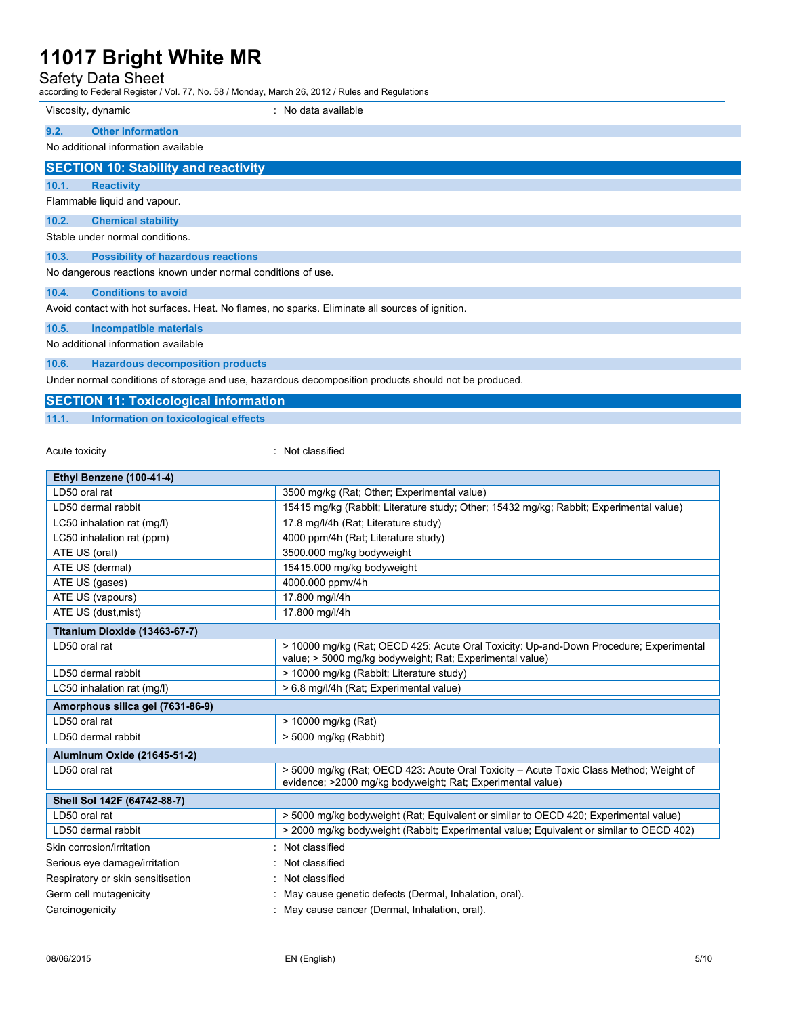## Safety Data Sheet

according to Federal Register / Vol. 77, No. 58 / Monday, March 26, 2012 / Rules and Regulations

|       | Viscosity, dynamic                                           | : No data available                                                                             |
|-------|--------------------------------------------------------------|-------------------------------------------------------------------------------------------------|
| 9.2.  | <b>Other information</b>                                     |                                                                                                 |
|       | No additional information available                          |                                                                                                 |
|       | <b>SECTION 10: Stability and reactivity</b>                  |                                                                                                 |
| 10.1. | <b>Reactivity</b>                                            |                                                                                                 |
|       | Flammable liquid and vapour.                                 |                                                                                                 |
| 10.2. | <b>Chemical stability</b>                                    |                                                                                                 |
|       | Stable under normal conditions.                              |                                                                                                 |
| 10.3. | <b>Possibility of hazardous reactions</b>                    |                                                                                                 |
|       | No dangerous reactions known under normal conditions of use. |                                                                                                 |
| 10.4. | <b>Conditions to avoid</b>                                   |                                                                                                 |
|       |                                                              | Avoid contact with hot surfaces. Heat. No flames, no sparks. Eliminate all sources of ignition. |
| 10.5. | <b>Incompatible materials</b>                                |                                                                                                 |

No additional information available

### **10.6. Hazardous decomposition products**

Under normal conditions of storage and use, hazardous decomposition products should not be produced.

## **SECTION 11: Toxicological information**

**11.1. Information on toxicological effects**

### Acute toxicity **in the case of the case of the case of the case of the case of the case of the case of the case of the case of the case of the case of the case of the case of the case of the case of the case of the case of**

| Ethyl Benzene (100-41-4)          |                                                                                                                                                      |
|-----------------------------------|------------------------------------------------------------------------------------------------------------------------------------------------------|
| LD50 oral rat                     | 3500 mg/kg (Rat; Other; Experimental value)                                                                                                          |
| LD50 dermal rabbit                | 15415 mg/kg (Rabbit; Literature study; Other; 15432 mg/kg; Rabbit; Experimental value)                                                               |
| LC50 inhalation rat (mg/l)        | 17.8 mg/l/4h (Rat; Literature study)                                                                                                                 |
| LC50 inhalation rat (ppm)         | 4000 ppm/4h (Rat: Literature study)                                                                                                                  |
| ATE US (oral)                     | 3500.000 mg/kg bodyweight                                                                                                                            |
| ATE US (dermal)                   | 15415.000 mg/kg bodyweight                                                                                                                           |
| ATE US (gases)                    | 4000.000 ppmv/4h                                                                                                                                     |
| ATE US (vapours)                  | 17.800 mg/l/4h                                                                                                                                       |
| ATE US (dust, mist)               | 17.800 mg/l/4h                                                                                                                                       |
| Titanium Dioxide (13463-67-7)     |                                                                                                                                                      |
| LD50 oral rat                     | > 10000 mg/kg (Rat; OECD 425: Acute Oral Toxicity: Up-and-Down Procedure; Experimental<br>value; > 5000 mg/kg bodyweight; Rat; Experimental value)   |
| LD50 dermal rabbit                | > 10000 mg/kg (Rabbit; Literature study)                                                                                                             |
| LC50 inhalation rat (mg/l)        | > 6.8 mg/l/4h (Rat; Experimental value)                                                                                                              |
| Amorphous silica gel (7631-86-9)  |                                                                                                                                                      |
| LD50 oral rat                     | > 10000 mg/kg (Rat)                                                                                                                                  |
| LD50 dermal rabbit                | > 5000 mg/kg (Rabbit)                                                                                                                                |
| Aluminum Oxide (21645-51-2)       |                                                                                                                                                      |
| LD50 oral rat                     | > 5000 mg/kg (Rat; OECD 423: Acute Oral Toxicity - Acute Toxic Class Method; Weight of<br>evidence; >2000 mg/kg bodyweight; Rat; Experimental value) |
| Shell Sol 142F (64742-88-7)       |                                                                                                                                                      |
| LD50 oral rat                     | > 5000 mg/kg bodyweight (Rat; Equivalent or similar to OECD 420; Experimental value)                                                                 |
| LD50 dermal rabbit                | > 2000 mg/kg bodyweight (Rabbit; Experimental value; Equivalent or similar to OECD 402)                                                              |
| Skin corrosion/irritation         | Not classified                                                                                                                                       |
| Serious eye damage/irritation     | Not classified                                                                                                                                       |
| Respiratory or skin sensitisation | Not classified                                                                                                                                       |
| Germ cell mutagenicity            | May cause genetic defects (Dermal, Inhalation, oral).                                                                                                |
| Carcinogenicity                   | May cause cancer (Dermal, Inhalation, oral).                                                                                                         |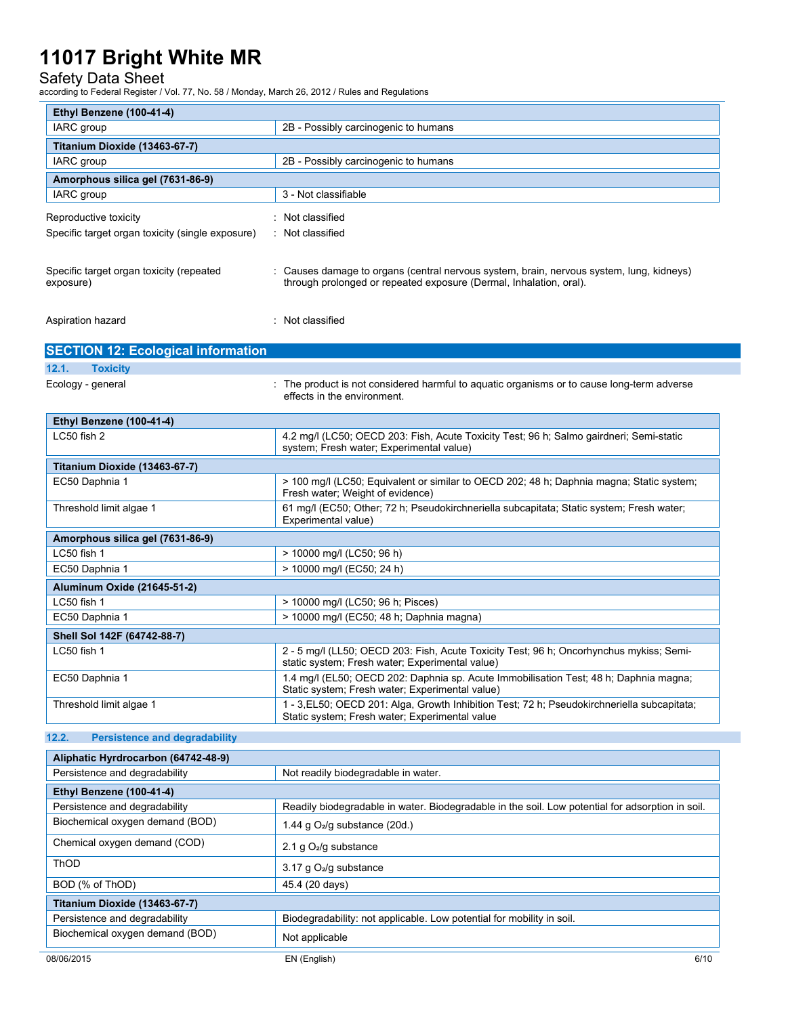## Safety Data Sheet

according to Federal Register / Vol. 77, No. 58 / Monday, March 26, 2012 / Rules and Regulations

| Ethyl Benzene (100-41-4)                         |                                                                                                                                          |
|--------------------------------------------------|------------------------------------------------------------------------------------------------------------------------------------------|
| IARC group                                       | 2B - Possibly carcinogenic to humans                                                                                                     |
| Titanium Dioxide (13463-67-7)                    |                                                                                                                                          |
| IARC group                                       | 2B - Possibly carcinogenic to humans                                                                                                     |
| Amorphous silica gel (7631-86-9)                 |                                                                                                                                          |
| <b>IARC</b> group                                | 3 - Not classifiable                                                                                                                     |
| Reproductive toxicity                            | : Not classified                                                                                                                         |
| Specific target organ toxicity (single exposure) | : Not classified                                                                                                                         |
|                                                  |                                                                                                                                          |
| Specific target organ toxicity (repeated         | : Causes damage to organs (central nervous system, brain, nervous system, lung, kidneys)                                                 |
| exposure)                                        | through prolonged or repeated exposure (Dermal, Inhalation, oral).                                                                       |
|                                                  |                                                                                                                                          |
| Aspiration hazard                                | : Not classified                                                                                                                         |
|                                                  |                                                                                                                                          |
| <b>SECTION 12: Ecological information</b>        |                                                                                                                                          |
| 12.1.<br><b>Toxicity</b>                         |                                                                                                                                          |
| Ecology - general                                | : The product is not considered harmful to aquatic organisms or to cause long-term adverse                                               |
|                                                  | effects in the environment.                                                                                                              |
| Ethyl Benzene (100-41-4)                         |                                                                                                                                          |
| LC50 fish 2                                      | 4.2 mg/l (LC50; OECD 203: Fish, Acute Toxicity Test; 96 h; Salmo gairdneri; Semi-static                                                  |
|                                                  | system; Fresh water; Experimental value)                                                                                                 |
| Titanium Dioxide (13463-67-7)                    |                                                                                                                                          |
| EC50 Daphnia 1                                   | > 100 mg/l (LC50; Equivalent or similar to OECD 202; 48 h; Daphnia magna; Static system;<br>Fresh water; Weight of evidence)             |
| Threshold limit algae 1                          | 61 mg/l (EC50; Other; 72 h; Pseudokirchneriella subcapitata; Static system; Fresh water;                                                 |
|                                                  | Experimental value)                                                                                                                      |
| Amorphous silica gel (7631-86-9)                 |                                                                                                                                          |
| LC50 fish 1                                      | > 10000 mg/l (LC50; 96 h)                                                                                                                |
| EC50 Daphnia 1                                   | > 10000 mg/l (EC50; 24 h)                                                                                                                |
| Aluminum Oxide (21645-51-2)                      |                                                                                                                                          |
| LC50 fish 1                                      | > 10000 mg/l (LC50; 96 h; Pisces)                                                                                                        |
| EC50 Daphnia 1                                   | > 10000 mg/l (EC50; 48 h; Daphnia magna)                                                                                                 |
| Shell Sol 142F (64742-88-7)                      |                                                                                                                                          |
| LC50 fish 1                                      | 2 - 5 mg/l (LL50; OECD 203: Fish, Acute Toxicity Test; 96 h; Oncorhynchus mykiss; Semi-                                                  |
| EC50 Daphnia 1                                   | static system; Fresh water; Experimental value)<br>1.4 mg/l (EL50; OECD 202: Daphnia sp. Acute Immobilisation Test; 48 h; Daphnia magna; |
|                                                  | Static system; Fresh water; Experimental value)                                                                                          |
| Threshold limit algae 1                          | 1 - 3, EL50; OECD 201: Alga, Growth Inhibition Test; 72 h; Pseudokirchneriella subcapitata;                                              |
|                                                  | Static system; Fresh water; Experimental value                                                                                           |
| 12.2.<br><b>Persistence and degradability</b>    |                                                                                                                                          |
| Aliphatic Hyrdrocarbon (64742-48-9)              |                                                                                                                                          |
| Persistence and degradability                    | Not readily biodegradable in water.                                                                                                      |
| Ethyl Benzene (100-41-4)                         |                                                                                                                                          |
| Persistence and degradability                    | Readily biodegradable in water. Biodegradable in the soil. Low potential for adsorption in soil.                                         |
| Biochemical oxygen demand (BOD)                  | 1.44 g $O_2$ /g substance (20d.)                                                                                                         |
| Chemical oxygen demand (COD)                     |                                                                                                                                          |
|                                                  | 2.1 g $O_2$ /g substance                                                                                                                 |
| ThOD                                             | 3.17 g $O_2$ /g substance                                                                                                                |
| BOD (% of ThOD)                                  | 45.4 (20 days)                                                                                                                           |
| Titanium Dioxide (13463-67-7)                    |                                                                                                                                          |
| Persistence and degradability                    | Biodegradability: not applicable. Low potential for mobility in soil.                                                                    |
| Biochemical oxygen demand (BOD)                  | Not applicable                                                                                                                           |
|                                                  |                                                                                                                                          |
| 08/06/2015                                       | EN (English)<br>6/10                                                                                                                     |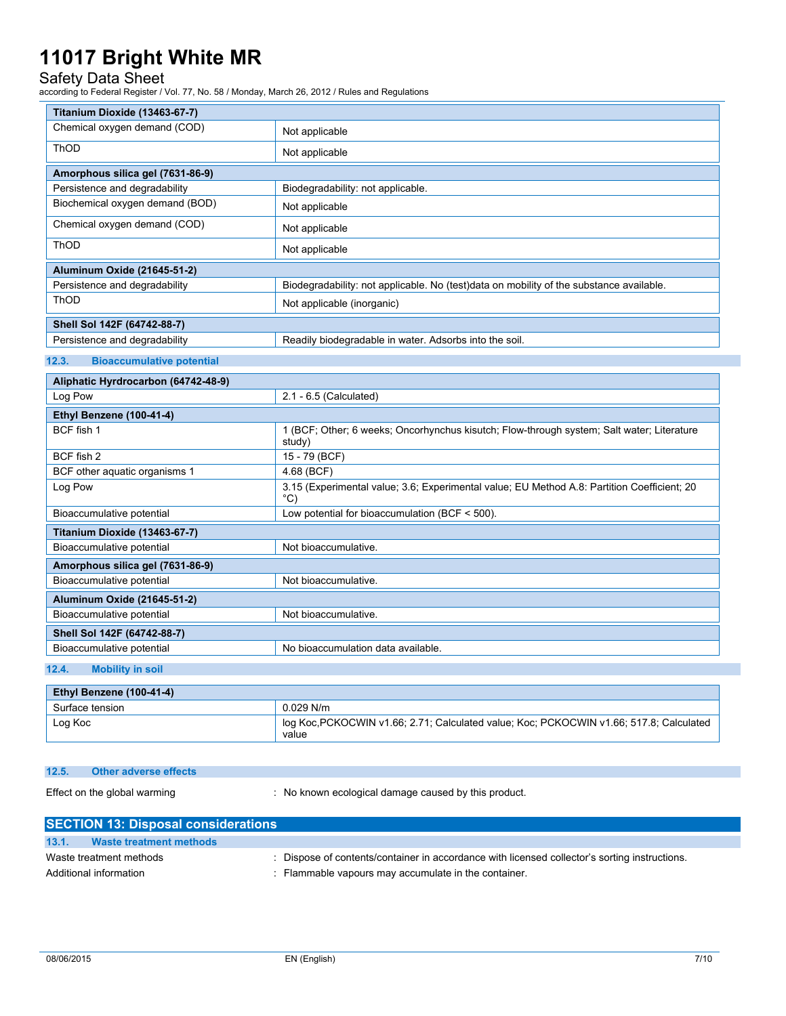## Safety Data Sheet

according to Federal Register / Vol. 77, No. 58 / Monday, March 26, 2012 / Rules and Regulations

| Titanium Dioxide (13463-67-7)             |                                                                                                              |  |
|-------------------------------------------|--------------------------------------------------------------------------------------------------------------|--|
| Chemical oxygen demand (COD)              | Not applicable                                                                                               |  |
| <b>ThOD</b>                               | Not applicable                                                                                               |  |
| Amorphous silica gel (7631-86-9)          |                                                                                                              |  |
| Persistence and degradability             | Biodegradability: not applicable.                                                                            |  |
| Biochemical oxygen demand (BOD)           | Not applicable                                                                                               |  |
| Chemical oxygen demand (COD)              | Not applicable                                                                                               |  |
| <b>ThOD</b>                               | Not applicable                                                                                               |  |
| <b>Aluminum Oxide (21645-51-2)</b>        |                                                                                                              |  |
| Persistence and degradability             | Biodegradability: not applicable. No (test)data on mobility of the substance available.                      |  |
| ThOD                                      | Not applicable (inorganic)                                                                                   |  |
| Shell Sol 142F (64742-88-7)               |                                                                                                              |  |
| Persistence and degradability             | Readily biodegradable in water. Adsorbs into the soil.                                                       |  |
| 12.3.<br><b>Bioaccumulative potential</b> |                                                                                                              |  |
| Aliphatic Hyrdrocarbon (64742-48-9)       |                                                                                                              |  |
| Log Pow                                   | 2.1 - 6.5 (Calculated)                                                                                       |  |
| Ethyl Benzene (100-41-4)                  |                                                                                                              |  |
| BCF fish 1                                | 1 (BCF; Other; 6 weeks; Oncorhynchus kisutch; Flow-through system; Salt water; Literature<br>study)          |  |
| BCF fish 2                                | 15 - 79 (BCF)                                                                                                |  |
| BCF other aquatic organisms 1             | 4.68 (BCF)                                                                                                   |  |
| Log Pow                                   | 3.15 (Experimental value; 3.6; Experimental value; EU Method A.8: Partition Coefficient; 20<br>$^{\circ}$ C) |  |
| Bioaccumulative potential                 | Low potential for bioaccumulation (BCF < 500).                                                               |  |
| Titanium Dioxide (13463-67-7)             |                                                                                                              |  |
| Bioaccumulative potential                 | Not bioaccumulative.                                                                                         |  |
| Amorphous silica gel (7631-86-9)          |                                                                                                              |  |
| Bioaccumulative potential                 | Not bioaccumulative.                                                                                         |  |
| Aluminum Oxide (21645-51-2)               |                                                                                                              |  |
| Bioaccumulative potential                 | Not bioaccumulative.                                                                                         |  |
| Shell Sol 142F (64742-88-7)               |                                                                                                              |  |
| Bioaccumulative potential                 | No bioaccumulation data available.                                                                           |  |
| 12 <sub>A</sub><br>Mobility in eail       |                                                                                                              |  |

### **12.4. Mobility in soil**

| Ethyl Benzene (100-41-4) |                                                                                                  |
|--------------------------|--------------------------------------------------------------------------------------------------|
| Surface tension          | $0.029$ N/m                                                                                      |
| Log Koc                  | log Koc, PCKOCWIN v1.66; 2.71; Calculated value; Koc; PCKOCWIN v1.66; 517.8; Calculated<br>value |

#### **12.5. Other adverse effects**

Effect on the global warming  $\qquad \qquad : \quad \text{No known ecological damage caused by this product.}$ 

| <b>SECTION 13: Disposal considerations</b> |                                |                                                                                               |  |
|--------------------------------------------|--------------------------------|-----------------------------------------------------------------------------------------------|--|
| 13.1.                                      | <b>Waste treatment methods</b> |                                                                                               |  |
| Waste treatment methods                    |                                | : Dispose of contents/container in accordance with licensed collector's sorting instructions. |  |
|                                            | Additional information         | : Flammable vapours may accumulate in the container.                                          |  |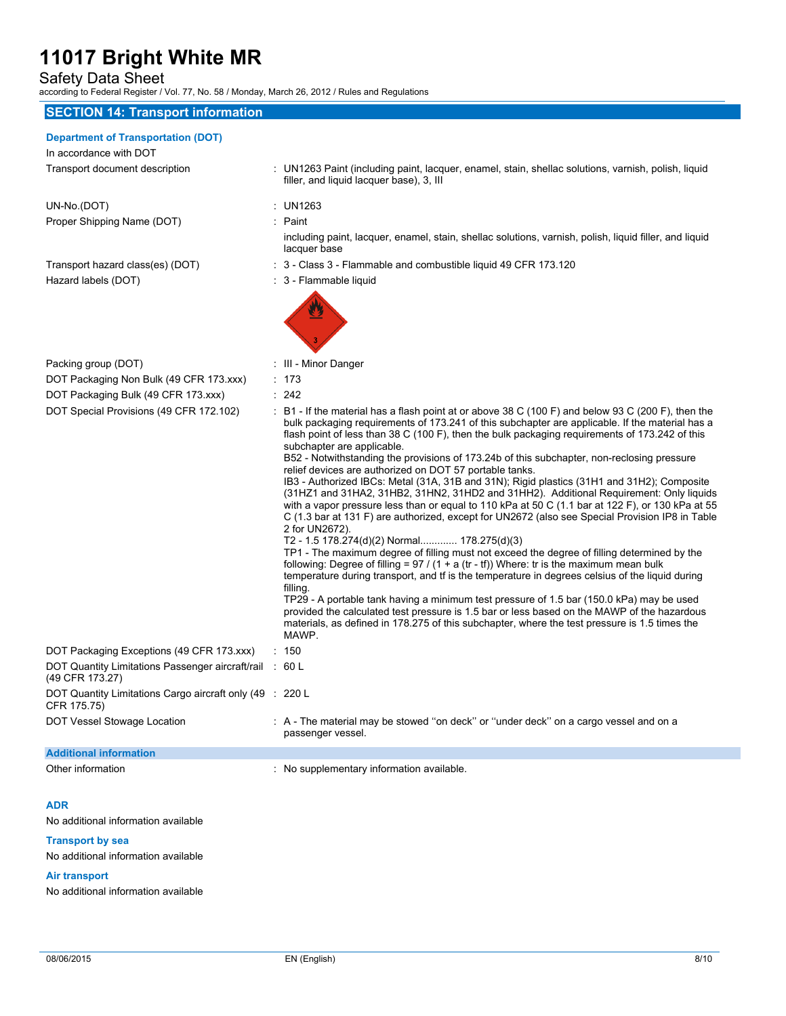Safety Data Sheet

according to Federal Register / Vol. 77, No. 58 / Monday, March 26, 2012 / Rules and Regulations

### **SECTION 14: Transport information**

#### **Department of Transportation (DOT)**

In accordance with DOT Transport document description : UN1263 Paint (including paint, lacquer, enamel, stain, shellac solutions, varnish, polish, liquid

UN-No.(DOT) : UN1263 Proper Shipping Name (DOT) : Paint

lacquer base Transport hazard class(es) (DOT) : 3 - Class 3 - Flammable and combustible liquid 49 CFR 173.120

including paint, lacquer, enamel, stain, shellac solutions, varnish, polish, liquid filler, and liquid

Hazard labels (DOT) **interest and the COV** and Separate 1: 3 - Flammable liquid

filler, and liquid lacquer base), 3, III



Packing group (DOT) : III - Minor Danger

- DOT Packaging Non Bulk (49 CFR 173.xxx) : 173
- DOT Packaging

| DOT Special Provisions (49 CER 172 102) |  |  |
|-----------------------------------------|--|--|

| DOT Fackaging Non Buik (49 CFR 173.XXX)                                    | - 70                                                                                                                                                                                                                                                                                                                                                                                                                                                                                                                                                                                                                                                                                                                                                                                                                                                                                                                                                                                                                                                                                                                                                                                                                                                                                                                                                                                                                                                                                                                                                                                 |
|----------------------------------------------------------------------------|--------------------------------------------------------------------------------------------------------------------------------------------------------------------------------------------------------------------------------------------------------------------------------------------------------------------------------------------------------------------------------------------------------------------------------------------------------------------------------------------------------------------------------------------------------------------------------------------------------------------------------------------------------------------------------------------------------------------------------------------------------------------------------------------------------------------------------------------------------------------------------------------------------------------------------------------------------------------------------------------------------------------------------------------------------------------------------------------------------------------------------------------------------------------------------------------------------------------------------------------------------------------------------------------------------------------------------------------------------------------------------------------------------------------------------------------------------------------------------------------------------------------------------------------------------------------------------------|
| DOT Packaging Bulk (49 CFR 173.xxx)                                        | : 242                                                                                                                                                                                                                                                                                                                                                                                                                                                                                                                                                                                                                                                                                                                                                                                                                                                                                                                                                                                                                                                                                                                                                                                                                                                                                                                                                                                                                                                                                                                                                                                |
| DOT Special Provisions (49 CFR 172.102)                                    | $\div$ B1 - If the material has a flash point at or above 38 C (100 F) and below 93 C (200 F), then the<br>bulk packaging requirements of 173.241 of this subchapter are applicable. If the material has a<br>flash point of less than 38 C (100 F), then the bulk packaging requirements of 173.242 of this<br>subchapter are applicable.<br>B52 - Notwithstanding the provisions of 173.24b of this subchapter, non-reclosing pressure<br>relief devices are authorized on DOT 57 portable tanks.<br>IB3 - Authorized IBCs: Metal (31A, 31B and 31N); Rigid plastics (31H1 and 31H2); Composite<br>(31HZ1 and 31HA2, 31HB2, 31HN2, 31HD2 and 31HH2). Additional Requirement: Only liquids<br>with a vapor pressure less than or equal to 110 kPa at 50 C (1.1 bar at 122 F), or 130 kPa at 55<br>C (1.3 bar at 131 F) are authorized, except for UN2672 (also see Special Provision IP8 in Table<br>2 for UN2672).<br>T2 - 1.5 178.274(d)(2) Normal 178.275(d)(3)<br>TP1 - The maximum degree of filling must not exceed the degree of filling determined by the<br>following: Degree of filling = $97 / (1 + a$ (tr - tf)) Where: tr is the maximum mean bulk<br>temperature during transport, and tf is the temperature in degrees celsius of the liquid during<br>filling.<br>TP29 - A portable tank having a minimum test pressure of 1.5 bar (150.0 kPa) may be used<br>provided the calculated test pressure is 1.5 bar or less based on the MAWP of the hazardous<br>materials, as defined in 178.275 of this subchapter, where the test pressure is 1.5 times the<br>MAWP. |
| DOT Packaging Exceptions (49 CFR 173.xxx)                                  | : 150                                                                                                                                                                                                                                                                                                                                                                                                                                                                                                                                                                                                                                                                                                                                                                                                                                                                                                                                                                                                                                                                                                                                                                                                                                                                                                                                                                                                                                                                                                                                                                                |
| DOT Quantity Limitations Passenger aircraft/rail : 60 L<br>(49 CFR 173.27) |                                                                                                                                                                                                                                                                                                                                                                                                                                                                                                                                                                                                                                                                                                                                                                                                                                                                                                                                                                                                                                                                                                                                                                                                                                                                                                                                                                                                                                                                                                                                                                                      |
| DOT Quantity Limitations Cargo aircraft only (49 : 220 L<br>CFR 175.75)    |                                                                                                                                                                                                                                                                                                                                                                                                                                                                                                                                                                                                                                                                                                                                                                                                                                                                                                                                                                                                                                                                                                                                                                                                                                                                                                                                                                                                                                                                                                                                                                                      |
| DOT Vessel Stowage Location                                                | : A - The material may be stowed "on deck" or "under deck" on a cargo vessel and on a<br>passenger vessel.                                                                                                                                                                                                                                                                                                                                                                                                                                                                                                                                                                                                                                                                                                                                                                                                                                                                                                                                                                                                                                                                                                                                                                                                                                                                                                                                                                                                                                                                           |
| <b>Additional information</b>                                              |                                                                                                                                                                                                                                                                                                                                                                                                                                                                                                                                                                                                                                                                                                                                                                                                                                                                                                                                                                                                                                                                                                                                                                                                                                                                                                                                                                                                                                                                                                                                                                                      |
| Other information                                                          | : No supplementary information available.                                                                                                                                                                                                                                                                                                                                                                                                                                                                                                                                                                                                                                                                                                                                                                                                                                                                                                                                                                                                                                                                                                                                                                                                                                                                                                                                                                                                                                                                                                                                            |

#### **ADR**

No additional information available

#### **Transport by sea**

No additional information available

#### **Air transport**

No additional information available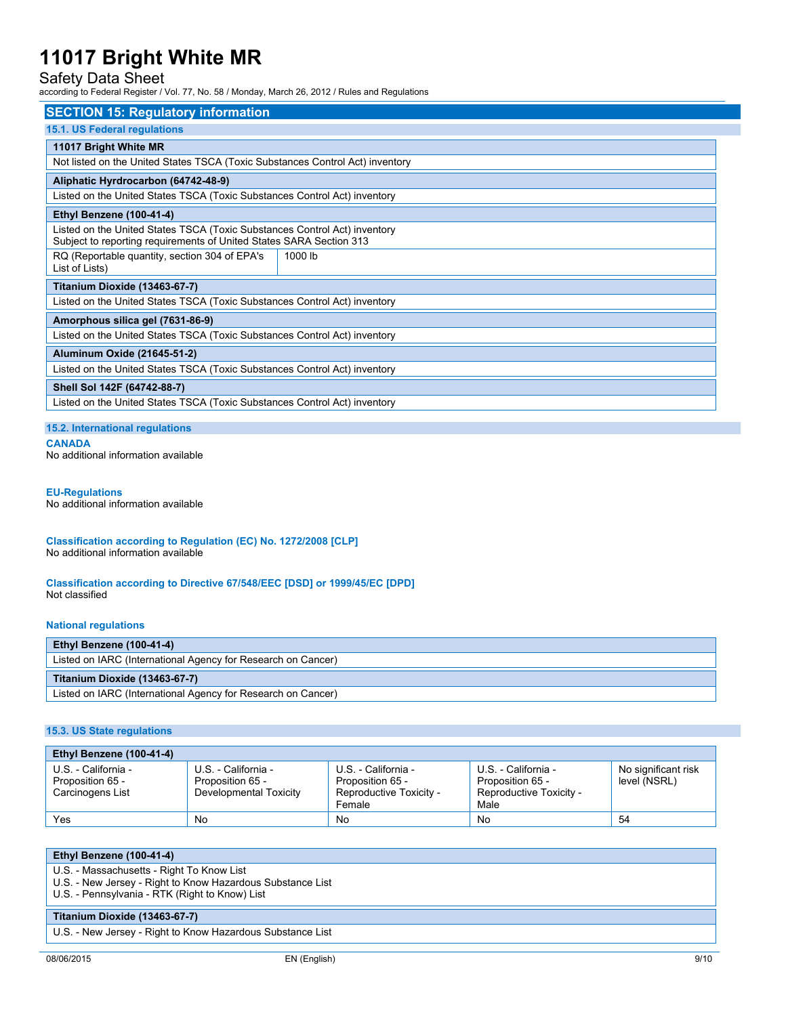## Safety Data Sheet

according to Federal Register / Vol. 77, No. 58 / Monday, March 26, 2012 / Rules and Regulations

| <b>SECTION 15: Regulatory information</b>                                                                                                        |         |  |  |
|--------------------------------------------------------------------------------------------------------------------------------------------------|---------|--|--|
| 15.1. US Federal regulations                                                                                                                     |         |  |  |
| 11017 Bright White MR                                                                                                                            |         |  |  |
| Not listed on the United States TSCA (Toxic Substances Control Act) inventory                                                                    |         |  |  |
| Aliphatic Hyrdrocarbon (64742-48-9)                                                                                                              |         |  |  |
| Listed on the United States TSCA (Toxic Substances Control Act) inventory                                                                        |         |  |  |
| Ethyl Benzene (100-41-4)                                                                                                                         |         |  |  |
| Listed on the United States TSCA (Toxic Substances Control Act) inventory<br>Subject to reporting requirements of United States SARA Section 313 |         |  |  |
| RQ (Reportable quantity, section 304 of EPA's<br>List of Lists)                                                                                  | 1000 lb |  |  |
| <b>Titanium Dioxide (13463-67-7)</b>                                                                                                             |         |  |  |
| Listed on the United States TSCA (Toxic Substances Control Act) inventory                                                                        |         |  |  |
| Amorphous silica gel (7631-86-9)                                                                                                                 |         |  |  |
| Listed on the United States TSCA (Toxic Substances Control Act) inventory                                                                        |         |  |  |
| Aluminum Oxide (21645-51-2)                                                                                                                      |         |  |  |
| Listed on the United States TSCA (Toxic Substances Control Act) inventory                                                                        |         |  |  |
| Shell Sol 142F (64742-88-7)                                                                                                                      |         |  |  |
| Listed on the United States TSCA (Toxic Substances Control Act) inventory                                                                        |         |  |  |

### **15.2. International regulations**

**CANADA**

No additional information available

#### **EU-Regulations**

No additional information available

**Classification according to Regulation (EC) No. 1272/2008 [CLP]** No additional information available

**Classification according to Directive 67/548/EEC [DSD] or 1999/45/EC [DPD]** Not classified

#### **National regulations**

| Ethyl Benzene (100-41-4)                                     |
|--------------------------------------------------------------|
| Listed on IARC (International Agency for Research on Cancer) |
| Titanium Dioxide (13463-67-7)                                |
|                                                              |

### **15.3. US State regulations**

| Ethyl Benzene (100-41-4)                                    |                                                                   |                                                                              |                                                                            |                                     |
|-------------------------------------------------------------|-------------------------------------------------------------------|------------------------------------------------------------------------------|----------------------------------------------------------------------------|-------------------------------------|
| U.S. - California -<br>Proposition 65 -<br>Carcinogens List | U.S. - California -<br>Proposition 65 -<br>Developmental Toxicity | U.S. - California -<br>Proposition 65 -<br>Reproductive Toxicity -<br>Female | U.S. - California -<br>Proposition 65 -<br>Reproductive Toxicity -<br>Male | No significant risk<br>level (NSRL) |
| Yes                                                         | No                                                                | No                                                                           | No                                                                         | 54                                  |

| Ethyl Benzene (100-41-4)                                                                                                                                  |  |  |
|-----------------------------------------------------------------------------------------------------------------------------------------------------------|--|--|
| U.S. - Massachusetts - Right To Know List<br>U.S. - New Jersey - Right to Know Hazardous Substance List<br>U.S. - Pennsylvania - RTK (Right to Know) List |  |  |
| Titanium Dioxide (13463-67-7)                                                                                                                             |  |  |
| LLC Now Jaroov Dight to Know Hazardove Cubetanea Liet                                                                                                     |  |  |

U.S. - New Jersey - Right to Know Hazardous Substance List